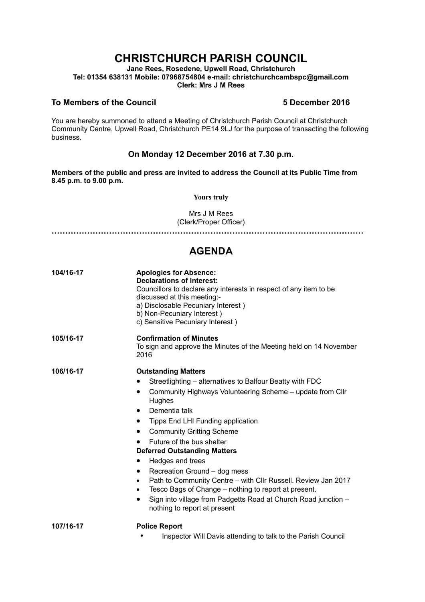# **CHRISTCHURCH PARISH COUNCIL**

**Jane Rees, Rosedene, Upwell Road, Christchurch Tel: 01354 638131 Mobile: 07968754804 e-mail: christchurchcambspc@gmail.com Clerk: Mrs J M Rees**

#### **To Members of the Council 5 December 2016**

You are hereby summoned to attend a Meeting of Christchurch Parish Council at Christchurch Community Centre, Upwell Road, Christchurch PE14 9LJ for the purpose of transacting the following business.

### **On Monday 12 December 2016 at 7.30 p.m.**

**Members of the public and press are invited to address the Council at its Public Time from 8.45 p.m. to 9.00 p.m.** 

#### **Yours truly**

Mrs J M Rees (Clerk/Proper Officer)

**……………………………………………………………………………………………………**

## **AGENDA**

| 104/16-17 | <b>Apologies for Absence:</b><br><b>Declarations of Interest:</b><br>Councillors to declare any interests in respect of any item to be<br>discussed at this meeting:-<br>a) Disclosable Pecuniary Interest)<br>b) Non-Pecuniary Interest)<br>c) Sensitive Pecuniary Interest)                                                                                                                                                                                                                                                                                                                                                                                                                           |
|-----------|---------------------------------------------------------------------------------------------------------------------------------------------------------------------------------------------------------------------------------------------------------------------------------------------------------------------------------------------------------------------------------------------------------------------------------------------------------------------------------------------------------------------------------------------------------------------------------------------------------------------------------------------------------------------------------------------------------|
| 105/16-17 | <b>Confirmation of Minutes</b><br>To sign and approve the Minutes of the Meeting held on 14 November<br>2016                                                                                                                                                                                                                                                                                                                                                                                                                                                                                                                                                                                            |
| 106/16-17 | <b>Outstanding Matters</b><br>Streetlighting – alternatives to Balfour Beatty with FDC<br>Community Highways Volunteering Scheme - update from Cllr<br>٠<br>Hughes<br>Dementia talk<br>٠<br>Tipps End LHI Funding application<br>$\bullet$<br><b>Community Gritting Scheme</b><br>$\bullet$<br>Future of the bus shelter<br><b>Deferred Outstanding Matters</b><br>Hedges and trees<br>$\bullet$<br>Recreation Ground - dog mess<br>$\bullet$<br>Path to Community Centre - with Cllr Russell. Review Jan 2017<br>$\bullet$<br>Tesco Bags of Change - nothing to report at present.<br>٠<br>Sign into village from Padgetts Road at Church Road junction -<br>$\bullet$<br>nothing to report at present |
| 107/16-17 | <b>Police Report</b><br>Inspector Will Davis attending to talk to the Parish Council<br>٠                                                                                                                                                                                                                                                                                                                                                                                                                                                                                                                                                                                                               |